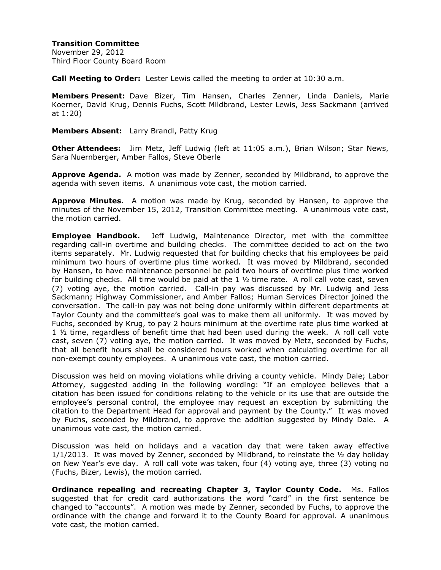November 29, 2012 Third Floor County Board Room

**Call Meeting to Order:** Lester Lewis called the meeting to order at 10:30 a.m.

**Members Present:** Dave Bizer, Tim Hansen, Charles Zenner, Linda Daniels, Marie Koerner, David Krug, Dennis Fuchs, Scott Mildbrand, Lester Lewis, Jess Sackmann (arrived at 1:20)

**Members Absent:** Larry Brandl, Patty Krug

**Other Attendees:** Jim Metz, Jeff Ludwig (left at 11:05 a.m.), Brian Wilson; Star News, Sara Nuernberger, Amber Fallos, Steve Oberle

**Approve Agenda.** A motion was made by Zenner, seconded by Mildbrand, to approve the agenda with seven items. A unanimous vote cast, the motion carried.

**Approve Minutes.** A motion was made by Krug, seconded by Hansen, to approve the minutes of the November 15, 2012, Transition Committee meeting. A unanimous vote cast, the motion carried.

**Employee Handbook.** Jeff Ludwig, Maintenance Director, met with the committee regarding call-in overtime and building checks. The committee decided to act on the two items separately. Mr. Ludwig requested that for building checks that his employees be paid minimum two hours of overtime plus time worked. It was moved by Mildbrand, seconded by Hansen, to have maintenance personnel be paid two hours of overtime plus time worked for building checks. All time would be paid at the  $1 \frac{1}{2}$  time rate. A roll call vote cast, seven (7) voting aye, the motion carried. Call-in pay was discussed by Mr. Ludwig and Jess Sackmann; Highway Commissioner, and Amber Fallos; Human Services Director joined the conversation. The call-in pay was not being done uniformly within different departments at Taylor County and the committee's goal was to make them all uniformly. It was moved by Fuchs, seconded by Krug, to pay 2 hours minimum at the overtime rate plus time worked at 1 ½ time, regardless of benefit time that had been used during the week. A roll call vote cast, seven (7) voting aye, the motion carried. It was moved by Metz, seconded by Fuchs, that all benefit hours shall be considered hours worked when calculating overtime for all non-exempt county employees. A unanimous vote cast, the motion carried.

Discussion was held on moving violations while driving a county vehicle. Mindy Dale; Labor Attorney, suggested adding in the following wording: "If an employee believes that a citation has been issued for conditions relating to the vehicle or its use that are outside the employee's personal control, the employee may request an exception by submitting the citation to the Department Head for approval and payment by the County." It was moved by Fuchs, seconded by Mildbrand, to approve the addition suggested by Mindy Dale. A unanimous vote cast, the motion carried.

Discussion was held on holidays and a vacation day that were taken away effective  $1/1/2013$ . It was moved by Zenner, seconded by Mildbrand, to reinstate the  $\frac{1}{2}$  day holiday on New Year's eve day. A roll call vote was taken, four (4) voting aye, three (3) voting no (Fuchs, Bizer, Lewis), the motion carried.

**Ordinance repealing and recreating Chapter 3, Taylor County Code.** Ms. Fallos suggested that for credit card authorizations the word "card" in the first sentence be changed to "accounts". A motion was made by Zenner, seconded by Fuchs, to approve the ordinance with the change and forward it to the County Board for approval. A unanimous vote cast, the motion carried.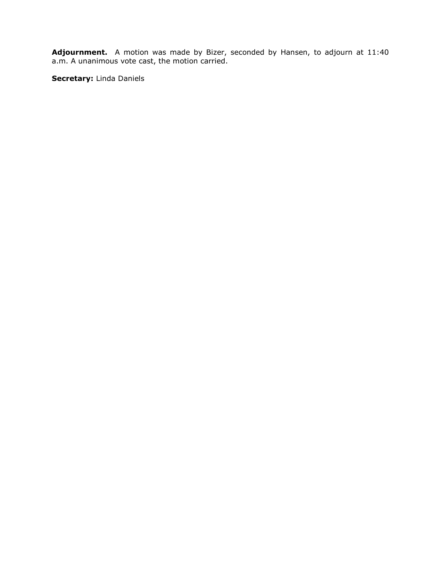**Adjournment.** A motion was made by Bizer, seconded by Hansen, to adjourn at 11:40 a.m. A unanimous vote cast, the motion carried.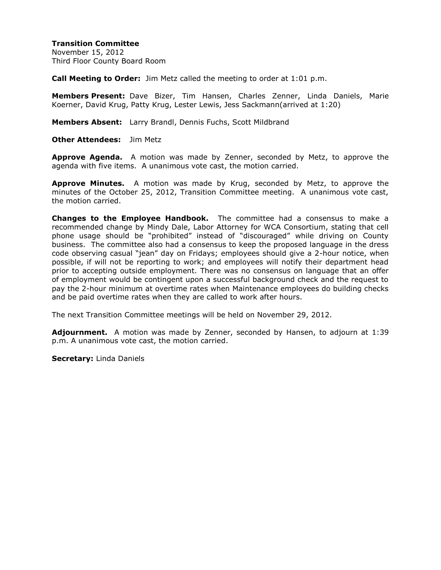November 15, 2012 Third Floor County Board Room

**Call Meeting to Order:** Jim Metz called the meeting to order at 1:01 p.m.

**Members Present:** Dave Bizer, Tim Hansen, Charles Zenner, Linda Daniels, Marie Koerner, David Krug, Patty Krug, Lester Lewis, Jess Sackmann(arrived at 1:20)

**Members Absent:** Larry Brandl, Dennis Fuchs, Scott Mildbrand

**Other Attendees:** Jim Metz

**Approve Agenda.** A motion was made by Zenner, seconded by Metz, to approve the agenda with five items. A unanimous vote cast, the motion carried.

**Approve Minutes.** A motion was made by Krug, seconded by Metz, to approve the minutes of the October 25, 2012, Transition Committee meeting. A unanimous vote cast, the motion carried.

**Changes to the Employee Handbook.** The committee had a consensus to make a recommended change by Mindy Dale, Labor Attorney for WCA Consortium, stating that cell phone usage should be "prohibited" instead of "discouraged" while driving on County business. The committee also had a consensus to keep the proposed language in the dress code observing casual "jean" day on Fridays; employees should give a 2-hour notice, when possible, if will not be reporting to work; and employees will notify their department head prior to accepting outside employment. There was no consensus on language that an offer of employment would be contingent upon a successful background check and the request to pay the 2-hour minimum at overtime rates when Maintenance employees do building checks and be paid overtime rates when they are called to work after hours.

The next Transition Committee meetings will be held on November 29, 2012.

**Adjournment.** A motion was made by Zenner, seconded by Hansen, to adjourn at 1:39 p.m. A unanimous vote cast, the motion carried.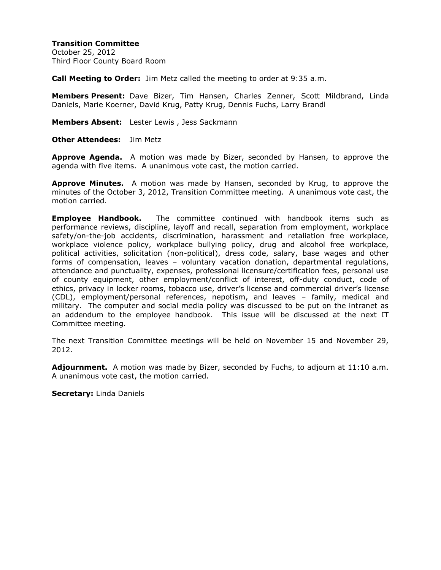October 25, 2012 Third Floor County Board Room

**Call Meeting to Order:** Jim Metz called the meeting to order at 9:35 a.m.

**Members Present:** Dave Bizer, Tim Hansen, Charles Zenner, Scott Mildbrand, Linda Daniels, Marie Koerner, David Krug, Patty Krug, Dennis Fuchs, Larry Brandl

**Members Absent:** Lester Lewis , Jess Sackmann

**Other Attendees:** Jim Metz

**Approve Agenda.** A motion was made by Bizer, seconded by Hansen, to approve the agenda with five items. A unanimous vote cast, the motion carried.

**Approve Minutes.** A motion was made by Hansen, seconded by Krug, to approve the minutes of the October 3, 2012, Transition Committee meeting. A unanimous vote cast, the motion carried.

**Employee Handbook.** The committee continued with handbook items such as performance reviews, discipline, layoff and recall, separation from employment, workplace safety/on-the-job accidents, discrimination, harassment and retaliation free workplace, workplace violence policy, workplace bullying policy, drug and alcohol free workplace, political activities, solicitation (non-political), dress code, salary, base wages and other forms of compensation, leaves – voluntary vacation donation, departmental regulations, attendance and punctuality, expenses, professional licensure/certification fees, personal use of county equipment, other employment/conflict of interest, off-duty conduct, code of ethics, privacy in locker rooms, tobacco use, driver's license and commercial driver's license (CDL), employment/personal references, nepotism, and leaves – family, medical and military. The computer and social media policy was discussed to be put on the intranet as an addendum to the employee handbook. This issue will be discussed at the next IT Committee meeting.

The next Transition Committee meetings will be held on November 15 and November 29, 2012.

**Adjournment.** A motion was made by Bizer, seconded by Fuchs, to adjourn at 11:10 a.m. A unanimous vote cast, the motion carried.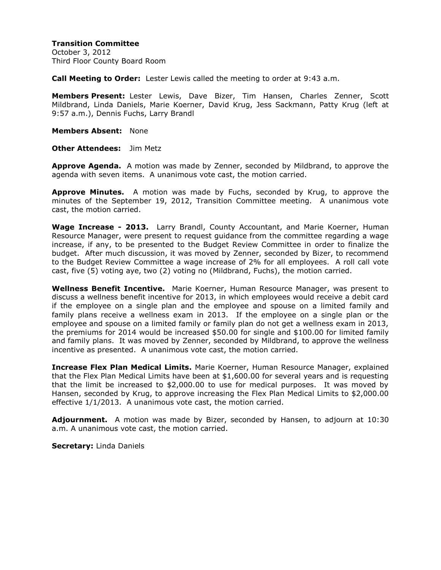October 3, 2012 Third Floor County Board Room

**Call Meeting to Order:** Lester Lewis called the meeting to order at 9:43 a.m.

**Members Present:** Lester Lewis, Dave Bizer, Tim Hansen, Charles Zenner, Scott Mildbrand, Linda Daniels, Marie Koerner, David Krug, Jess Sackmann, Patty Krug (left at 9:57 a.m.), Dennis Fuchs, Larry Brandl

**Members Absent:** None

**Other Attendees:** Jim Metz

**Approve Agenda.** A motion was made by Zenner, seconded by Mildbrand, to approve the agenda with seven items. A unanimous vote cast, the motion carried.

**Approve Minutes.** A motion was made by Fuchs, seconded by Krug, to approve the minutes of the September 19, 2012, Transition Committee meeting. A unanimous vote cast, the motion carried.

**Wage Increase - 2013.** Larry Brandl, County Accountant, and Marie Koerner, Human Resource Manager, were present to request guidance from the committee regarding a wage increase, if any, to be presented to the Budget Review Committee in order to finalize the budget. After much discussion, it was moved by Zenner, seconded by Bizer, to recommend to the Budget Review Committee a wage increase of 2% for all employees. A roll call vote cast, five (5) voting aye, two (2) voting no (Mildbrand, Fuchs), the motion carried.

**Wellness Benefit Incentive.** Marie Koerner, Human Resource Manager, was present to discuss a wellness benefit incentive for 2013, in which employees would receive a debit card if the employee on a single plan and the employee and spouse on a limited family and family plans receive a wellness exam in 2013. If the employee on a single plan or the employee and spouse on a limited family or family plan do not get a wellness exam in 2013, the premiums for 2014 would be increased \$50.00 for single and \$100.00 for limited family and family plans. It was moved by Zenner, seconded by Mildbrand, to approve the wellness incentive as presented. A unanimous vote cast, the motion carried.

**Increase Flex Plan Medical Limits.** Marie Koerner, Human Resource Manager, explained that the Flex Plan Medical Limits have been at \$1,600.00 for several years and is requesting that the limit be increased to \$2,000.00 to use for medical purposes. It was moved by Hansen, seconded by Krug, to approve increasing the Flex Plan Medical Limits to \$2,000.00 effective 1/1/2013. A unanimous vote cast, the motion carried.

**Adjournment.** A motion was made by Bizer, seconded by Hansen, to adjourn at 10:30 a.m. A unanimous vote cast, the motion carried.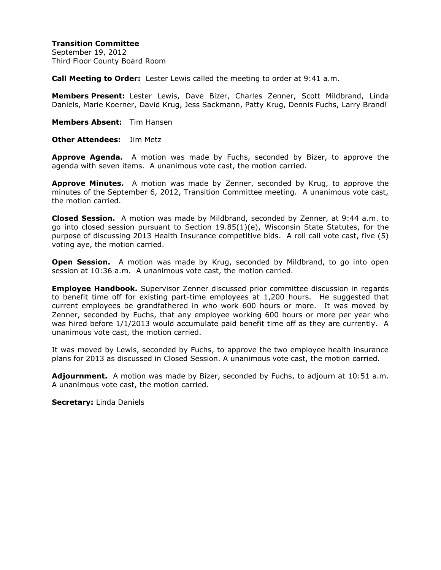**Transition Committee** September 19, 2012 Third Floor County Board Room

**Call Meeting to Order:** Lester Lewis called the meeting to order at 9:41 a.m.

**Members Present:** Lester Lewis, Dave Bizer, Charles Zenner, Scott Mildbrand, Linda Daniels, Marie Koerner, David Krug, Jess Sackmann, Patty Krug, Dennis Fuchs, Larry Brandl

**Members Absent:** Tim Hansen

**Other Attendees:** Jim Metz

**Approve Agenda.** A motion was made by Fuchs, seconded by Bizer, to approve the agenda with seven items. A unanimous vote cast, the motion carried.

**Approve Minutes.** A motion was made by Zenner, seconded by Krug, to approve the minutes of the September 6, 2012, Transition Committee meeting. A unanimous vote cast, the motion carried.

**Closed Session.** A motion was made by Mildbrand, seconded by Zenner, at 9:44 a.m. to go into closed session pursuant to Section  $19.85(1)(e)$ , Wisconsin State Statutes, for the purpose of discussing 2013 Health Insurance competitive bids. A roll call vote cast, five (5) voting aye, the motion carried.

**Open Session.** A motion was made by Krug, seconded by Mildbrand, to go into open session at 10:36 a.m. A unanimous vote cast, the motion carried.

**Employee Handbook.** Supervisor Zenner discussed prior committee discussion in regards to benefit time off for existing part-time employees at 1,200 hours. He suggested that current employees be grandfathered in who work 600 hours or more. It was moved by Zenner, seconded by Fuchs, that any employee working 600 hours or more per year who was hired before 1/1/2013 would accumulate paid benefit time off as they are currently. A unanimous vote cast, the motion carried.

It was moved by Lewis, seconded by Fuchs, to approve the two employee health insurance plans for 2013 as discussed in Closed Session. A unanimous vote cast, the motion carried.

**Adjournment.** A motion was made by Bizer, seconded by Fuchs, to adjourn at 10:51 a.m. A unanimous vote cast, the motion carried.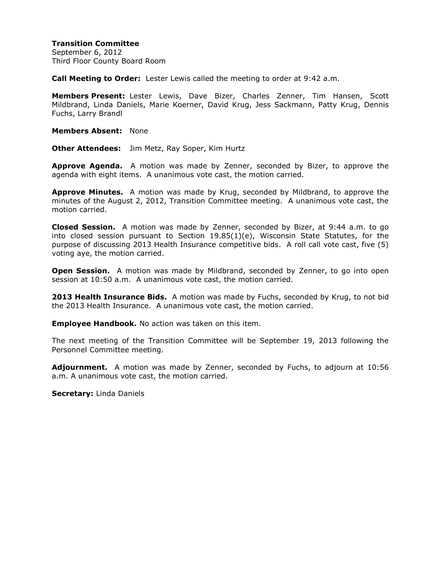September 6, 2012 Third Floor County Board Room

**Call Meeting to Order:** Lester Lewis called the meeting to order at 9:42 a.m.

**Members Present:** Lester Lewis, Dave Bizer, Charles Zenner, Tim Hansen, Scott Mildbrand, Linda Daniels, Marie Koerner, David Krug, Jess Sackmann, Patty Krug, Dennis Fuchs, Larry Brandl

**Members Absent:** None

**Other Attendees:** Jim Metz, Ray Soper, Kim Hurtz

**Approve Agenda.** A motion was made by Zenner, seconded by Bizer, to approve the agenda with eight items. A unanimous vote cast, the motion carried.

**Approve Minutes.** A motion was made by Krug, seconded by Mildbrand, to approve the minutes of the August 2, 2012, Transition Committee meeting. A unanimous vote cast, the motion carried.

**Closed Session.** A motion was made by Zenner, seconded by Bizer, at 9:44 a.m. to go into closed session pursuant to Section 19.85(1)(e), Wisconsin State Statutes, for the purpose of discussing 2013 Health Insurance competitive bids. A roll call vote cast, five (5) voting aye, the motion carried.

**Open Session.** A motion was made by Mildbrand, seconded by Zenner, to go into open session at 10:50 a.m. A unanimous vote cast, the motion carried.

**2013 Health Insurance Bids.** A motion was made by Fuchs, seconded by Krug, to not bid the 2013 Health Insurance. A unanimous vote cast, the motion carried.

**Employee Handbook.** No action was taken on this item.

The next meeting of the Transition Committee will be September 19, 2013 following the Personnel Committee meeting.

**Adjournment.** A motion was made by Zenner, seconded by Fuchs, to adjourn at 10:56 a.m. A unanimous vote cast, the motion carried.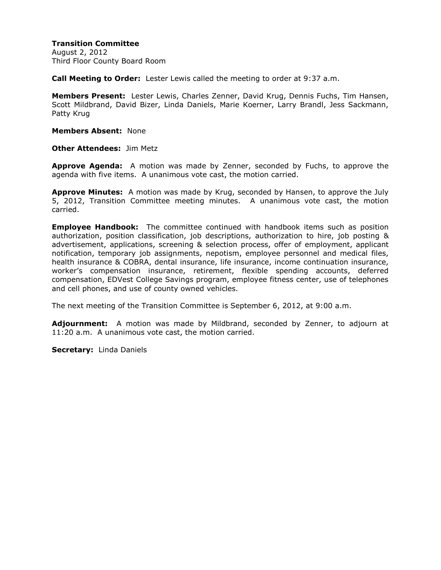August 2, 2012 Third Floor County Board Room

**Call Meeting to Order:** Lester Lewis called the meeting to order at 9:37 a.m.

**Members Present:** Lester Lewis, Charles Zenner, David Krug, Dennis Fuchs, Tim Hansen, Scott Mildbrand, David Bizer, Linda Daniels, Marie Koerner, Larry Brandl, Jess Sackmann, Patty Krug

**Members Absent:** None

**Other Attendees:** Jim Metz

**Approve Agenda:** A motion was made by Zenner, seconded by Fuchs, to approve the agenda with five items. A unanimous vote cast, the motion carried.

**Approve Minutes:** A motion was made by Krug, seconded by Hansen, to approve the July 5, 2012, Transition Committee meeting minutes. A unanimous vote cast, the motion carried.

**Employee Handbook:** The committee continued with handbook items such as position authorization, position classification, job descriptions, authorization to hire, job posting & advertisement, applications, screening & selection process, offer of employment, applicant notification, temporary job assignments, nepotism, employee personnel and medical files, health insurance & COBRA, dental insurance, life insurance, income continuation insurance, worker's compensation insurance, retirement, flexible spending accounts, deferred compensation, EDVest College Savings program, employee fitness center, use of telephones and cell phones, and use of county owned vehicles.

The next meeting of the Transition Committee is September 6, 2012, at 9:00 a.m.

**Adjournment:** A motion was made by Mildbrand, seconded by Zenner, to adjourn at 11:20 a.m. A unanimous vote cast, the motion carried.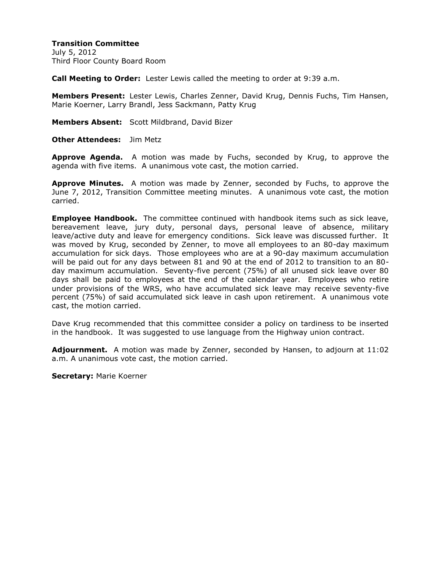**Transition Committee** July 5, 2012 Third Floor County Board Room

**Call Meeting to Order:** Lester Lewis called the meeting to order at 9:39 a.m.

**Members Present:** Lester Lewis, Charles Zenner, David Krug, Dennis Fuchs, Tim Hansen, Marie Koerner, Larry Brandl, Jess Sackmann, Patty Krug

**Members Absent:** Scott Mildbrand, David Bizer

**Other Attendees:** Jim Metz

**Approve Agenda.** A motion was made by Fuchs, seconded by Krug, to approve the agenda with five items. A unanimous vote cast, the motion carried.

**Approve Minutes.** A motion was made by Zenner, seconded by Fuchs, to approve the June 7, 2012, Transition Committee meeting minutes. A unanimous vote cast, the motion carried.

**Employee Handbook.** The committee continued with handbook items such as sick leave, bereavement leave, jury duty, personal days, personal leave of absence, military leave/active duty and leave for emergency conditions. Sick leave was discussed further. It was moved by Krug, seconded by Zenner, to move all employees to an 80-day maximum accumulation for sick days. Those employees who are at a 90-day maximum accumulation will be paid out for any days between 81 and 90 at the end of 2012 to transition to an 80 day maximum accumulation. Seventy-five percent (75%) of all unused sick leave over 80 days shall be paid to employees at the end of the calendar year. Employees who retire under provisions of the WRS, who have accumulated sick leave may receive seventy-five percent (75%) of said accumulated sick leave in cash upon retirement. A unanimous vote cast, the motion carried.

Dave Krug recommended that this committee consider a policy on tardiness to be inserted in the handbook. It was suggested to use language from the Highway union contract.

**Adjournment.** A motion was made by Zenner, seconded by Hansen, to adjourn at 11:02 a.m. A unanimous vote cast, the motion carried.

**Secretary:** Marie Koerner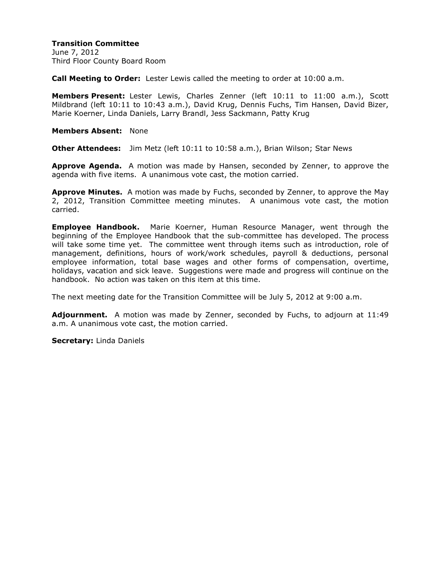June 7, 2012 Third Floor County Board Room

**Call Meeting to Order:** Lester Lewis called the meeting to order at 10:00 a.m.

**Members Present:** Lester Lewis, Charles Zenner (left 10:11 to 11:00 a.m.), Scott Mildbrand (left 10:11 to 10:43 a.m.), David Krug, Dennis Fuchs, Tim Hansen, David Bizer, Marie Koerner, Linda Daniels, Larry Brandl, Jess Sackmann, Patty Krug

**Members Absent:** None

**Other Attendees:** Jim Metz (left 10:11 to 10:58 a.m.), Brian Wilson; Star News

**Approve Agenda.** A motion was made by Hansen, seconded by Zenner, to approve the agenda with five items. A unanimous vote cast, the motion carried.

**Approve Minutes.** A motion was made by Fuchs, seconded by Zenner, to approve the May 2, 2012, Transition Committee meeting minutes. A unanimous vote cast, the motion carried.

**Employee Handbook.** Marie Koerner, Human Resource Manager, went through the beginning of the Employee Handbook that the sub-committee has developed. The process will take some time yet. The committee went through items such as introduction, role of management, definitions, hours of work/work schedules, payroll & deductions, personal employee information, total base wages and other forms of compensation, overtime, holidays, vacation and sick leave. Suggestions were made and progress will continue on the handbook. No action was taken on this item at this time.

The next meeting date for the Transition Committee will be July 5, 2012 at 9:00 a.m.

**Adjournment.** A motion was made by Zenner, seconded by Fuchs, to adjourn at 11:49 a.m. A unanimous vote cast, the motion carried.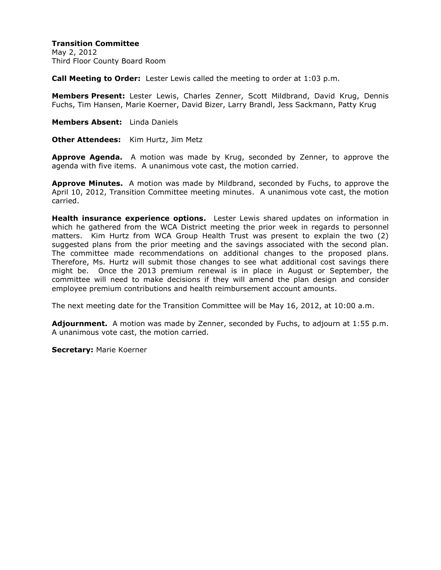**Transition Committee** May 2, 2012 Third Floor County Board Room

**Call Meeting to Order:** Lester Lewis called the meeting to order at 1:03 p.m.

**Members Present:** Lester Lewis, Charles Zenner, Scott Mildbrand, David Krug, Dennis Fuchs, Tim Hansen, Marie Koerner, David Bizer, Larry Brandl, Jess Sackmann, Patty Krug

**Members Absent:** Linda Daniels

**Other Attendees:** Kim Hurtz, Jim Metz

**Approve Agenda.** A motion was made by Krug, seconded by Zenner, to approve the agenda with five items. A unanimous vote cast, the motion carried.

**Approve Minutes.** A motion was made by Mildbrand, seconded by Fuchs, to approve the April 10, 2012, Transition Committee meeting minutes. A unanimous vote cast, the motion carried.

**Health insurance experience options.** Lester Lewis shared updates on information in which he gathered from the WCA District meeting the prior week in regards to personnel matters. Kim Hurtz from WCA Group Health Trust was present to explain the two (2) suggested plans from the prior meeting and the savings associated with the second plan. The committee made recommendations on additional changes to the proposed plans. Therefore, Ms. Hurtz will submit those changes to see what additional cost savings there might be. Once the 2013 premium renewal is in place in August or September, the committee will need to make decisions if they will amend the plan design and consider employee premium contributions and health reimbursement account amounts.

The next meeting date for the Transition Committee will be May 16, 2012, at 10:00 a.m.

**Adjournment.** A motion was made by Zenner, seconded by Fuchs, to adjourn at 1:55 p.m. A unanimous vote cast, the motion carried.

**Secretary:** Marie Koerner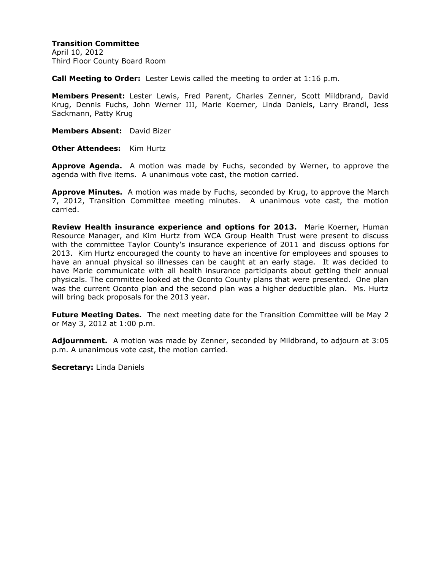April 10, 2012 Third Floor County Board Room

**Call Meeting to Order:** Lester Lewis called the meeting to order at 1:16 p.m.

**Members Present:** Lester Lewis, Fred Parent, Charles Zenner, Scott Mildbrand, David Krug, Dennis Fuchs, John Werner III, Marie Koerner, Linda Daniels, Larry Brandl, Jess Sackmann, Patty Krug

**Members Absent:** David Bizer

**Other Attendees:** Kim Hurtz

**Approve Agenda.** A motion was made by Fuchs, seconded by Werner, to approve the agenda with five items. A unanimous vote cast, the motion carried.

**Approve Minutes.** A motion was made by Fuchs, seconded by Krug, to approve the March 7, 2012, Transition Committee meeting minutes. A unanimous vote cast, the motion carried.

**Review Health insurance experience and options for 2013.** Marie Koerner, Human Resource Manager, and Kim Hurtz from WCA Group Health Trust were present to discuss with the committee Taylor County's insurance experience of 2011 and discuss options for 2013. Kim Hurtz encouraged the county to have an incentive for employees and spouses to have an annual physical so illnesses can be caught at an early stage. It was decided to have Marie communicate with all health insurance participants about getting their annual physicals. The committee looked at the Oconto County plans that were presented. One plan was the current Oconto plan and the second plan was a higher deductible plan. Ms. Hurtz will bring back proposals for the 2013 year.

**Future Meeting Dates.** The next meeting date for the Transition Committee will be May 2 or May 3, 2012 at 1:00 p.m.

**Adjournment.** A motion was made by Zenner, seconded by Mildbrand, to adjourn at 3:05 p.m. A unanimous vote cast, the motion carried.